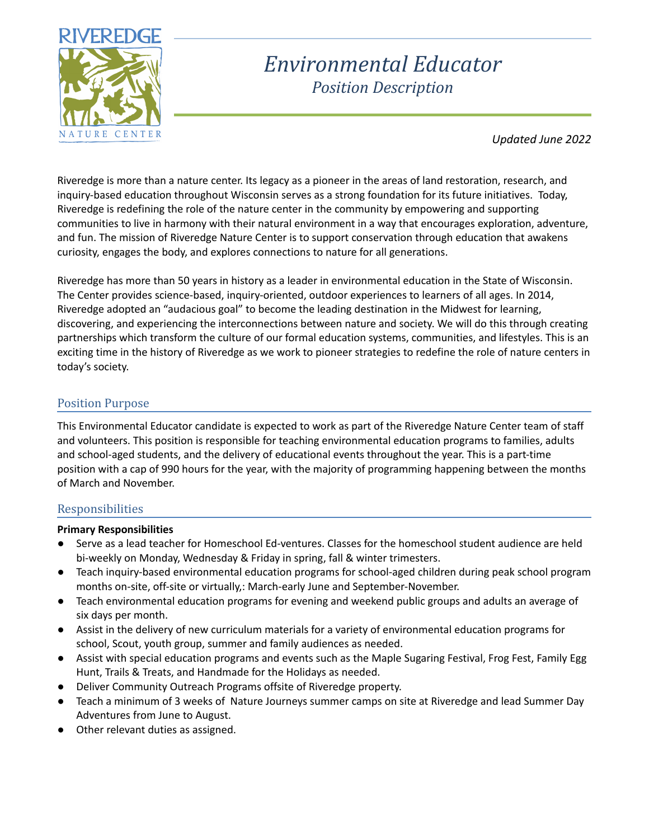

# *Environmental Educator Position Description*

*Updated June 2022*

Riveredge is more than a nature center. Its legacy as a pioneer in the areas of land restoration, research, and inquiry-based education throughout Wisconsin serves as a strong foundation for its future initiatives. Today, Riveredge is redefining the role of the nature center in the community by empowering and supporting communities to live in harmony with their natural environment in a way that encourages exploration, adventure, and fun. The mission of Riveredge Nature Center is to support conservation through education that awakens curiosity, engages the body, and explores connections to nature for all generations.

Riveredge has more than 50 years in history as a leader in environmental education in the State of Wisconsin. The Center provides science-based, inquiry-oriented, outdoor experiences to learners of all ages. In 2014, Riveredge adopted an "audacious goal" to become the leading destination in the Midwest for learning, discovering, and experiencing the interconnections between nature and society. We will do this through creating partnerships which transform the culture of our formal education systems, communities, and lifestyles. This is an exciting time in the history of Riveredge as we work to pioneer strategies to redefine the role of nature centers in today's society.

# Position Purpose

This Environmental Educator candidate is expected to work as part of the Riveredge Nature Center team of staff and volunteers. This position is responsible for teaching environmental education programs to families, adults and school-aged students, and the delivery of educational events throughout the year. This is a part-time position with a cap of 990 hours for the year, with the majority of programming happening between the months of March and November.

# Responsibilities

#### **Primary Responsibilities**

- Serve as a lead teacher for Homeschool Ed-ventures. Classes for the homeschool student audience are held bi-weekly on Monday, Wednesday & Friday in spring, fall & winter trimesters.
- Teach inquiry-based environmental education programs for school-aged children during peak school program months on-site, off-site or virtually,: March-early June and September-November.
- Teach environmental education programs for evening and weekend public groups and adults an average of six days per month.
- Assist in the delivery of new curriculum materials for a variety of environmental education programs for school, Scout, youth group, summer and family audiences as needed.
- Assist with special education programs and events such as the Maple Sugaring Festival, Frog Fest, Family Egg Hunt, Trails & Treats, and Handmade for the Holidays as needed.
- Deliver Community Outreach Programs offsite of Riveredge property.
- Teach a minimum of 3 weeks of Nature Journeys summer camps on site at Riveredge and lead Summer Day Adventures from June to August.
- Other relevant duties as assigned.